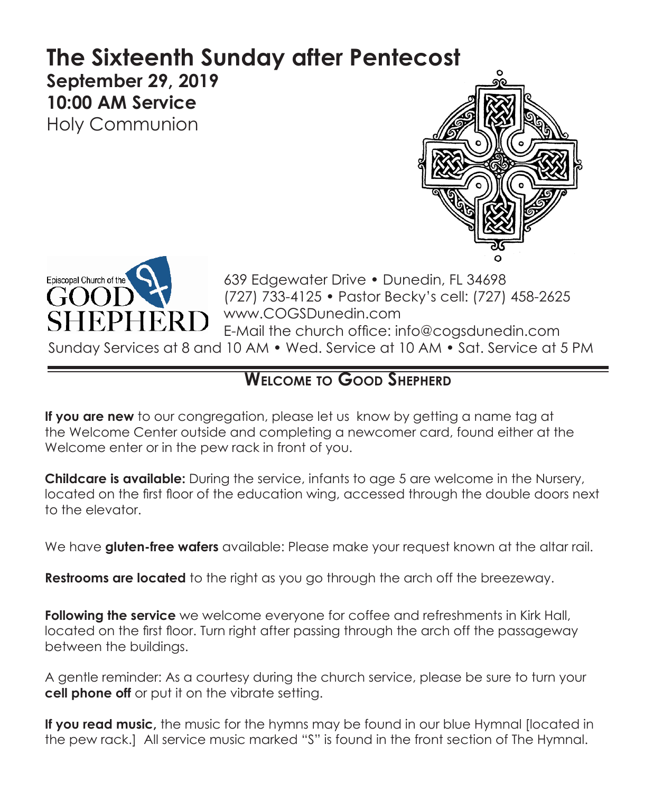# **The Sixteenth Sunday after Pentecost September 29, 2019 10:00 AM Service**  Holy Communion





639 Edgewater Drive • Dunedin, FL 34698 (727) 733-4125 • Pastor Becky's cell: (727) 458-2625 www.COGSDunedin.com E-Mail the church office: info@cogsdunedin.com

Sunday Services at 8 and 10 AM • Wed. Service at 10 AM • Sat. Service at 5 PM

# **Welcome to Good Shepherd**

**If you are new** to our congregation, please let us know by getting a name tag at the Welcome Center outside and completing a newcomer card, found either at the Welcome enter or in the pew rack in front of you.

**Childcare is available:** During the service, infants to age 5 are welcome in the Nursery, located on the first floor of the education wing, accessed through the double doors next to the elevator.

We have **gluten-free wafers** available: Please make your request known at the altar rail.

**Restrooms are located** to the right as you go through the arch off the breezeway.

**Following the service** we welcome everyone for coffee and refreshments in Kirk Hall, located on the first floor. Turn right after passing through the arch off the passageway between the buildings.

A gentle reminder: As a courtesy during the church service, please be sure to turn your **cell phone off** or put it on the vibrate setting.

**If you read music,** the music for the hymns may be found in our blue Hymnal [located in the pew rack.] All service music marked "S" is found in the front section of The Hymnal.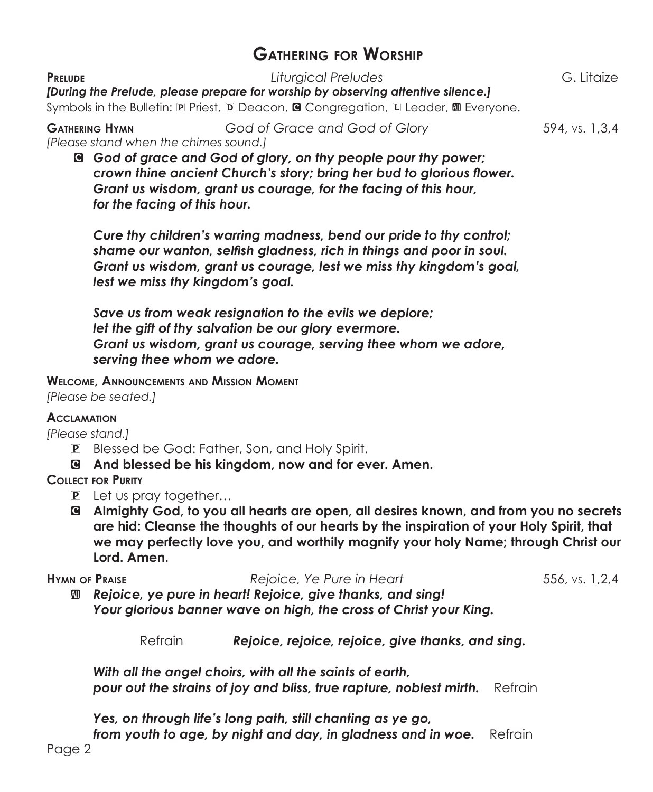# **Gathering for Worship**

**Prelude** *Liturgical Preludes* G. Litaize

*[During the Prelude, please prepare for worship by observing attentive silence.]*

Symbols in the Bulletin: **P** Priest, **D** Deacon, **G** Congregation, L Leader, **M** Everyone.

**Gathering Hymn** *God of Grace and God of Glory* 594, vs. 1,3,4 *[Please stand when the chimes sound.]*

C *God of grace and God of glory, on thy people pour thy power; crown thine ancient Church's story; bring her bud to glorious flower. Grant us wisdom, grant us courage, for the facing of this hour, for the facing of this hour.*

*Cure thy children's warring madness, bend our pride to thy control; shame our wanton, selfish gladness, rich in things and poor in soul. Grant us wisdom, grant us courage, lest we miss thy kingdom's goal, lest we miss thy kingdom's goal.*

*Save us from weak resignation to the evils we deplore; let the gift of thy salvation be our glory evermore. Grant us wisdom, grant us courage, serving thee whom we adore, serving thee whom we adore.*

**Welcome, Announcements and Mission Moment**

*[Please be seated.]*

#### **Acclamation**

*[Please stand.]*

- P Blessed be God: Father, Son, and Holy Spirit.
- C **And blessed be his kingdom, now and for ever. Amen.**

### **Collect for Purity**

- P Let us pray together…
- C **Almighty God, to you all hearts are open, all desires known, and from you no secrets are hid: Cleanse the thoughts of our hearts by the inspiration of your Holy Spirit, that we may perfectly love you, and worthily magnify your holy Name; through Christ our Lord. Amen.**

**Hymn of Praise** *Rejoice, Ye Pure in Heart* 556, vs. 1,2,4

a *Rejoice, ye pure in heart! Rejoice, give thanks, and sing! Your glorious banner wave on high, the cross of Christ your King.*

**Refrain Rejoice, rejoice, rejoice, give thanks, and sing.** 

*With all the angel choirs, with all the saints of earth, pour out the strains of joy and bliss, true rapture, noblest mirth.* Refrain

*Yes, on through life's long path, still chanting as ye go,* from youth to age, by night and day, in gladness and in woe. Refrain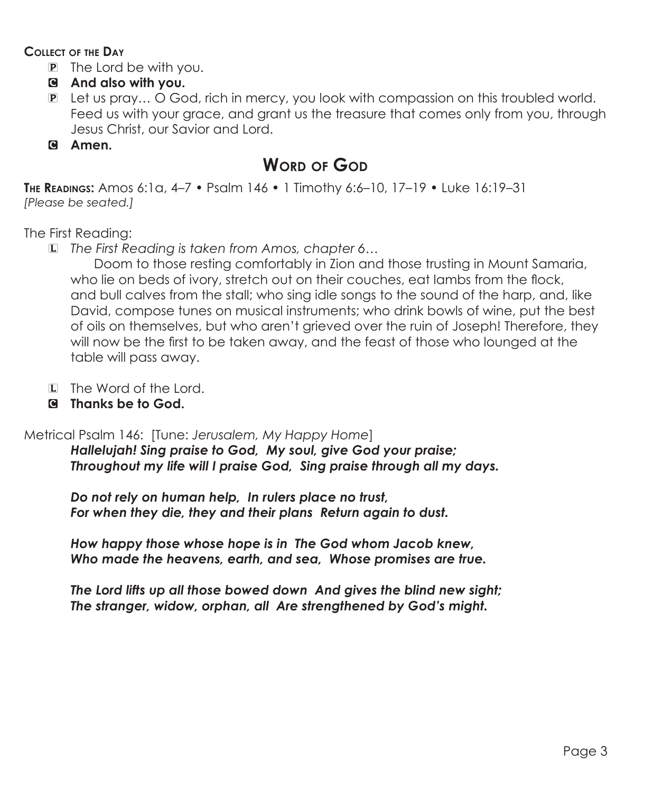#### **Collect of the Day**

- P The Lord be with you.
- C **And also with you.**
- P Let us pray… O God, rich in mercy, you look with compassion on this troubled world. Feed us with your grace, and grant us the treasure that comes only from you, through Jesus Christ, our Savior and Lord.

### C **Amen.**

# **WORD OF GOD**

**The Readings:** Amos 6:1a, 4–7 • Psalm 146 • 1 Timothy 6:6–10, 17–19 • Luke 16:19–31 *[Please be seated.]*

The First Reading:

L *The First Reading is taken from Amos, chapter 6…*

 Doom to those resting comfortably in Zion and those trusting in Mount Samaria, who lie on beds of ivory, stretch out on their couches, eat lambs from the flock, and bull calves from the stall; who sing idle songs to the sound of the harp, and, like David, compose tunes on musical instruments; who drink bowls of wine, put the best of oils on themselves, but who aren't grieved over the ruin of Joseph! Therefore, they will now be the first to be taken away, and the feast of those who lounged at the table will pass away.

- L The Word of the Lord.
- C **Thanks be to God.**

# Metrical Psalm 146: [Tune: *Jerusalem, My Happy Home*]

*Hallelujah! Sing praise to God, My soul, give God your praise; Throughout my life will I praise God, Sing praise through all my days.*

*Do not rely on human help, In rulers place no trust, For when they die, they and their plans Return again to dust.*

*How happy those whose hope is in The God whom Jacob knew, Who made the heavens, earth, and sea, Whose promises are true.*

*The Lord lifts up all those bowed down And gives the blind new sight; The stranger, widow, orphan, all Are strengthened by God's might.*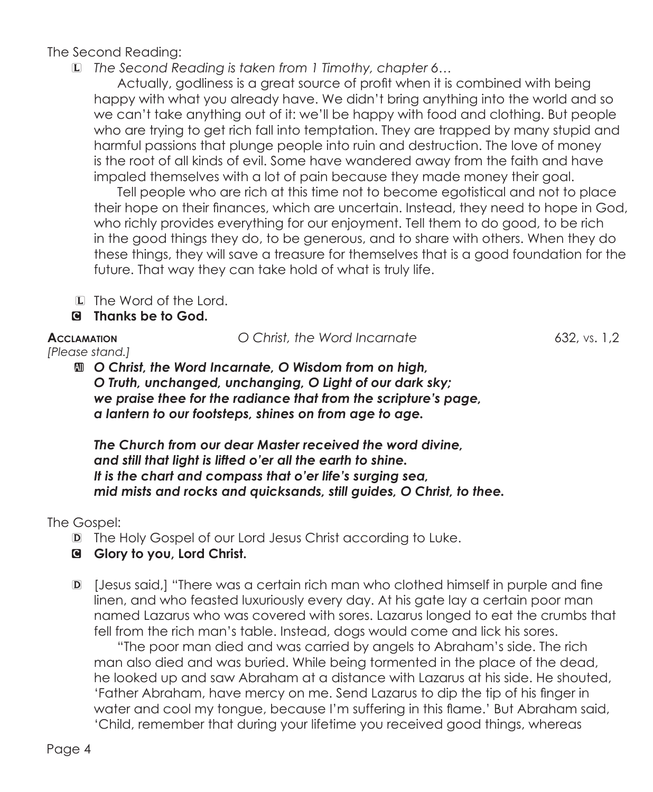The Second Reading:

L *The Second Reading is taken from 1 Timothy, chapter 6…*

Actually, godliness is a great source of profit when it is combined with being happy with what you already have. We didn't bring anything into the world and so we can't take anything out of it: we'll be happy with food and clothing. But people who are trying to get rich fall into temptation. They are trapped by many stupid and harmful passions that plunge people into ruin and destruction. The love of money is the root of all kinds of evil. Some have wandered away from the faith and have impaled themselves with a lot of pain because they made money their goal.

Tell people who are rich at this time not to become egotistical and not to place their hope on their finances, which are uncertain. Instead, they need to hope in God, who richly provides everything for our enjoyment. Tell them to do good, to be rich in the good things they do, to be generous, and to share with others. When they do these things, they will save a treasure for themselves that is a good foundation for the future. That way they can take hold of what is truly life.

L The Word of the Lord.

C **Thanks be to God.**

**Acclamation** *O Christ, the Word Incarnate* 632, vs. 1,2

*[Please stand.]* a *O Christ, the Word Incarnate, O Wisdom from on high, O Truth, unchanged, unchanging, O Light of our dark sky; we praise thee for the radiance that from the scripture's page, a lantern to our footsteps, shines on from age to age.*

> *The Church from our dear Master received the word divine, and still that light is lifted o'er all the earth to shine. It is the chart and compass that o'er life's surging sea, mid mists and rocks and quicksands, still guides, O Christ, to thee.*

# The Gospel:

- D The Holy Gospel of our Lord Jesus Christ according to Luke.
- C **Glory to you, Lord Christ.**
- D [Jesus said,] "There was a certain rich man who clothed himself in purple and fine linen, and who feasted luxuriously every day. At his gate lay a certain poor man named Lazarus who was covered with sores. Lazarus longed to eat the crumbs that fell from the rich man's table. Instead, dogs would come and lick his sores.

"The poor man died and was carried by angels to Abraham's side. The rich man also died and was buried. While being tormented in the place of the dead, he looked up and saw Abraham at a distance with Lazarus at his side. He shouted, 'Father Abraham, have mercy on me. Send Lazarus to dip the tip of his finger in water and cool my tongue, because I'm suffering in this flame.' But Abraham said, 'Child, remember that during your lifetime you received good things, whereas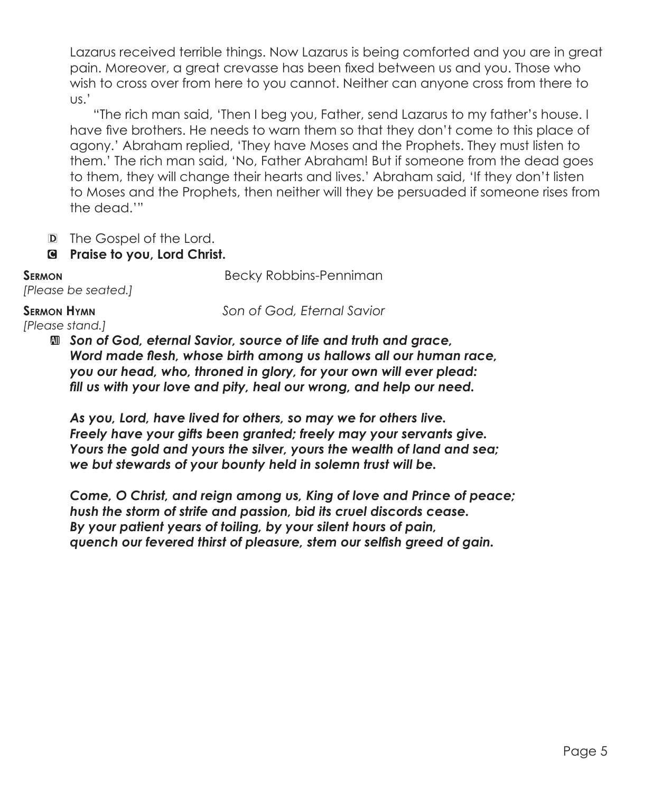Lazarus received terrible things. Now Lazarus is being comforted and you are in great pain. Moreover, a great crevasse has been fixed between us and you. Those who wish to cross over from here to you cannot. Neither can anyone cross from there to us.'

"The rich man said, 'Then I beg you, Father, send Lazarus to my father's house. I have five brothers. He needs to warn them so that they don't come to this place of agony.' Abraham replied, 'They have Moses and the Prophets. They must listen to them.' The rich man said, 'No, Father Abraham! But if someone from the dead goes to them, they will change their hearts and lives.' Abraham said, 'If they don't listen to Moses and the Prophets, then neither will they be persuaded if someone rises from the dead.'"

- D The Gospel of the Lord.
- C **Praise to you, Lord Christ.**

**SERMON** Becky Robbins-Penniman

#### **Sermon Hymn** *Son of God, Eternal Savior*

*[Please stand.]* 

*[Please be seated.]*

 $\mathbf{I}$ *Son of God, eternal Savior, source of life and truth and grace, Word made flesh, whose birth among us hallows all our human race, you our head, who, throned in glory, for your own will ever plead: fill us with your love and pity, heal our wrong, and help our need.*

*As you, Lord, have lived for others, so may we for others live. Freely have your gifts been granted; freely may your servants give. Yours the gold and yours the silver, yours the wealth of land and sea; we but stewards of your bounty held in solemn trust will be.*

*Come, O Christ, and reign among us, King of love and Prince of peace; hush the storm of strife and passion, bid its cruel discords cease. By your patient years of toiling, by your silent hours of pain, quench our fevered thirst of pleasure, stem our selfish greed of gain.*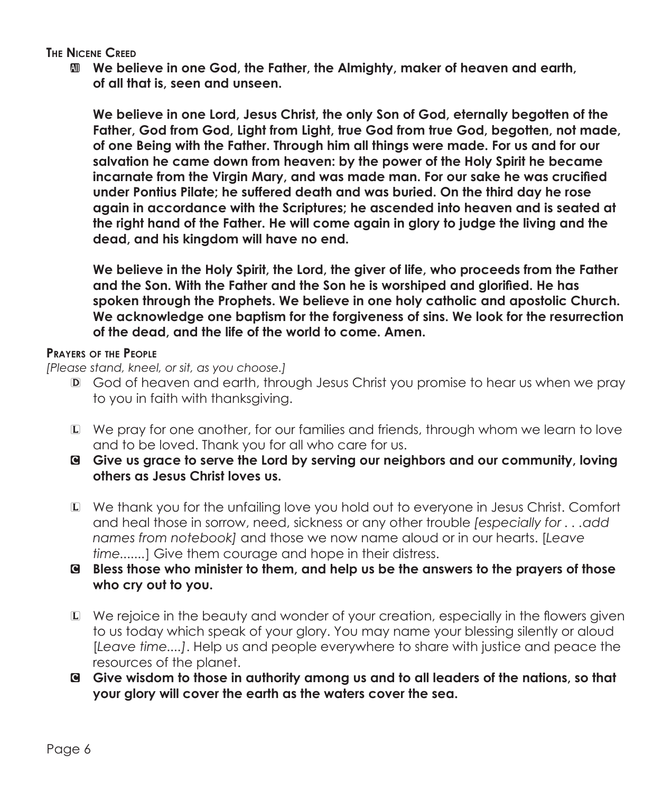**The Nicene Creed**

a **We believe in one God, the Father, the Almighty, maker of heaven and earth, of all that is, seen and unseen.**

 **We believe in one Lord, Jesus Christ, the only Son of God, eternally begotten of the Father, God from God, Light from Light, true God from true God, begotten, not made, of one Being with the Father. Through him all things were made. For us and for our salvation he came down from heaven: by the power of the Holy Spirit he became incarnate from the Virgin Mary, and was made man. For our sake he was crucified under Pontius Pilate; he suffered death and was buried. On the third day he rose again in accordance with the Scriptures; he ascended into heaven and is seated at the right hand of the Father. He will come again in glory to judge the living and the dead, and his kingdom will have no end.**

 **We believe in the Holy Spirit, the Lord, the giver of life, who proceeds from the Father and the Son. With the Father and the Son he is worshiped and glorified. He has spoken through the Prophets. We believe in one holy catholic and apostolic Church. We acknowledge one baptism for the forgiveness of sins. We look for the resurrection of the dead, and the life of the world to come. Amen.**

#### **Prayers of the People**

*[Please stand, kneel, or sit, as you choose.]*

- D God of heaven and earth, through Jesus Christ you promise to hear us when we pray to you in faith with thanksgiving.
- L We pray for one another, for our families and friends, through whom we learn to love and to be loved. Thank you for all who care for us.
- C **Give us grace to serve the Lord by serving our neighbors and our community, loving others as Jesus Christ loves us.**
- L We thank you for the unfailing love you hold out to everyone in Jesus Christ. Comfort and heal those in sorrow, need, sickness or any other trouble *[especially for . . .add names from notebook]* and those we now name aloud or in our hearts. [*Leave time.......*] Give them courage and hope in their distress.
- C **Bless those who minister to them, and help us be the answers to the prayers of those who cry out to you.**
- L We rejoice in the beauty and wonder of your creation, especially in the flowers given to us today which speak of your glory. You may name your blessing silently or aloud [*Leave time....]*. Help us and people everywhere to share with justice and peace the resources of the planet.
- C **Give wisdom to those in authority among us and to all leaders of the nations, so that your glory will cover the earth as the waters cover the sea.**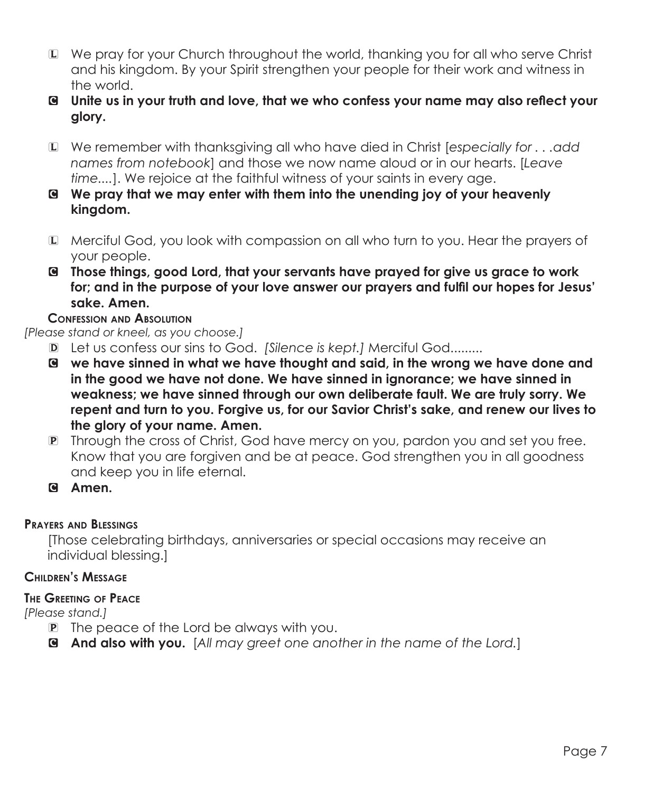- L We pray for your Church throughout the world, thanking you for all who serve Christ and his kingdom. By your Spirit strengthen your people for their work and witness in the world.
- C **Unite us in your truth and love, that we who confess your name may also reflect your glory.**
- L We remember with thanksgiving all who have died in Christ [*especially for . . .add names from notebook*] and those we now name aloud or in our hearts. [*Leave time....*]. We rejoice at the faithful witness of your saints in every age.
- C **We pray that we may enter with them into the unending joy of your heavenly kingdom.**
- L Merciful God, you look with compassion on all who turn to you. Hear the prayers of your people.
- C **Those things, good Lord, that your servants have prayed for give us grace to work for; and in the purpose of your love answer our prayers and fulfil our hopes for Jesus' sake. Amen.**

## **Confession and Absolution**

*[Please stand or kneel, as you choose.]*

- D Let us confess our sins to God. *[Silence is kept.]* Merciful God.........
- C **we have sinned in what we have thought and said, in the wrong we have done and in the good we have not done. We have sinned in ignorance; we have sinned in weakness; we have sinned through our own deliberate fault. We are truly sorry. We repent and turn to you. Forgive us, for our Savior Christ's sake, and renew our lives to the glory of your name. Amen.**
- P Through the cross of Christ, God have mercy on you, pardon you and set you free. Know that you are forgiven and be at peace. God strengthen you in all goodness and keep you in life eternal.
- C **Amen.**

# **Prayers and Blessings**

[Those celebrating birthdays, anniversaries or special occasions may receive an individual blessing.]

# **Children's Message**

# **The Greeting of Peace**

*[Please stand.]*

- P The peace of the Lord be always with you.
- C **And also with you.** [*All may greet one another in the name of the Lord.*]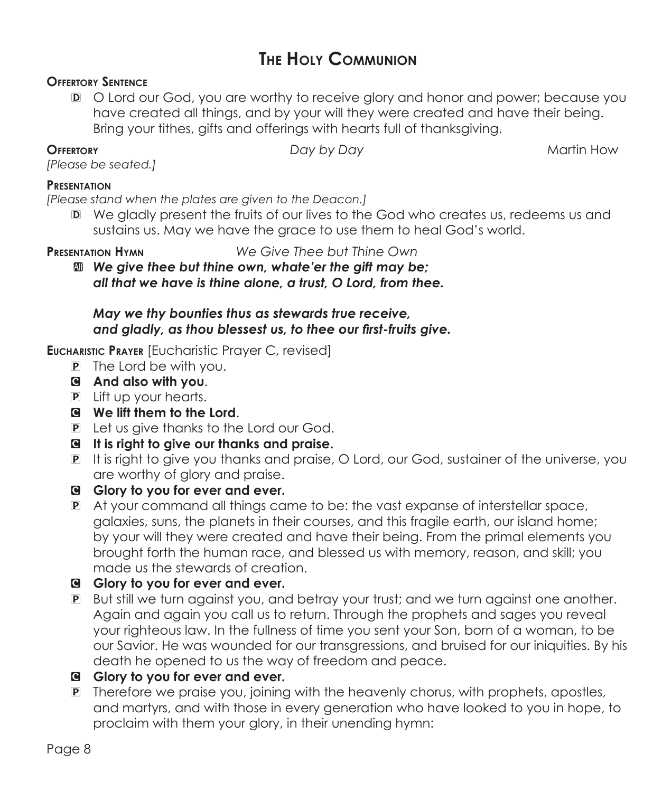# **The Holy Communion**

### **Offertory Sentence**

D O Lord our God, you are worthy to receive glory and honor and power; because you have created all things, and by your will they were created and have their being. Bring your tithes, gifts and offerings with hearts full of thanksgiving.

**OFFERTORY** *Day by Day* **<b>Martin How** *Day by Day* **Martin How** 

*[Please be seated.]*

#### **Presentation**

*[Please stand when the plates are given to the Deacon.]*

D We gladly present the fruits of our lives to the God who creates us, redeems us and sustains us. May we have the grace to use them to heal God's world.

**Presentation Hymn** *We Give Thee but Thine Own*

a *We give thee but thine own, whate'er the gift may be; all that we have is thine alone, a trust, O Lord, from thee.*

## *May we thy bounties thus as stewards true receive, and gladly, as thou blessest us, to thee our first-fruits give.*

**Eucharistic Prayer** [Eucharistic Prayer C, revised]

- P The Lord be with you.
- C **And also with you**.
- P Lift up your hearts.
- C **We lift them to the Lord**.
- P Let us give thanks to the Lord our God.
- C **It is right to give our thanks and praise.**
- P It is right to give you thanks and praise, O Lord, our God, sustainer of the universe, you are worthy of glory and praise.
- G Glory to you for ever and ever.
- P At your command all things came to be: the vast expanse of interstellar space, galaxies, suns, the planets in their courses, and this fragile earth, our island home; by your will they were created and have their being. From the primal elements you brought forth the human race, and blessed us with memory, reason, and skill; you made us the stewards of creation.
- C **Glory to you for ever and ever.**
- P But still we turn against you, and betray your trust; and we turn against one another. Again and again you call us to return. Through the prophets and sages you reveal your righteous law. In the fullness of time you sent your Son, born of a woman, to be our Savior. He was wounded for our transgressions, and bruised for our iniquities. By his death he opened to us the way of freedom and peace.
- G Glory to you for ever and ever.
- P Therefore we praise you, joining with the heavenly chorus, with prophets, apostles, and martyrs, and with those in every generation who have looked to you in hope, to proclaim with them your glory, in their unending hymn: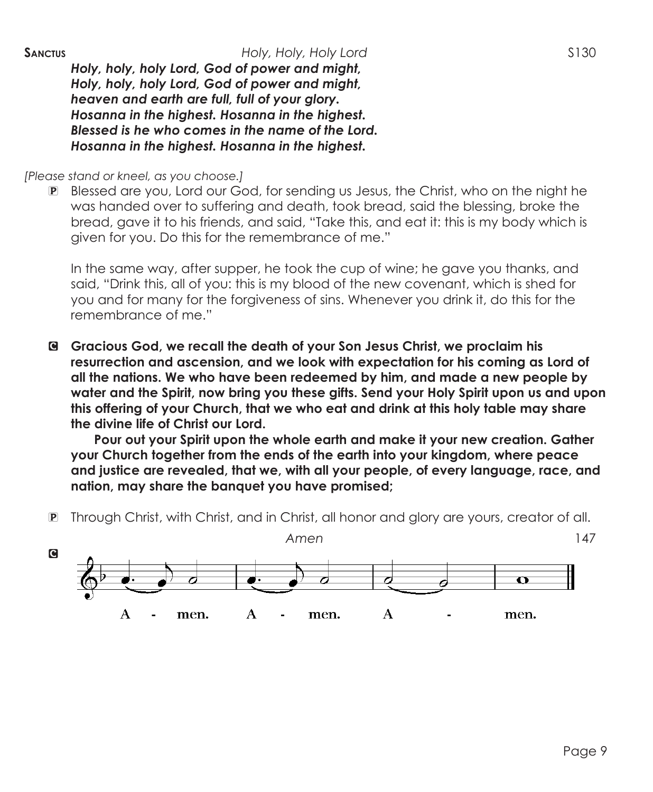*Holy, holy, holy Lord, God of power and might, Holy, holy, holy Lord, God of power and might, heaven and earth are full, full of your glory. Hosanna in the highest. Hosanna in the highest. Blessed is he who comes in the name of the Lord. Hosanna in the highest. Hosanna in the highest.*

*[Please stand or kneel, as you choose.]*

P Blessed are you, Lord our God, for sending us Jesus, the Christ, who on the night he was handed over to suffering and death, took bread, said the blessing, broke the bread, gave it to his friends, and said, "Take this, and eat it: this is my body which is given for you. Do this for the remembrance of me."

In the same way, after supper, he took the cup of wine; he gave you thanks, and said, "Drink this, all of you: this is my blood of the new covenant, which is shed for you and for many for the forgiveness of sins. Whenever you drink it, do this for the remembrance of me."

C **Gracious God, we recall the death of your Son Jesus Christ, we proclaim his resurrection and ascension, and we look with expectation for his coming as Lord of all the nations. We who have been redeemed by him, and made a new people by water and the Spirit, now bring you these gifts. Send your Holy Spirit upon us and upon this offering of your Church, that we who eat and drink at this holy table may share the divine life of Christ our Lord.**

 **Pour out your Spirit upon the whole earth and make it your new creation. Gather your Church together from the ends of the earth into your kingdom, where peace and justice are revealed, that we, with all your people, of every language, race, and nation, may share the banquet you have promised;**

P Through Christ, with Christ, and in Christ, all honor and glory are yours, creator of all.

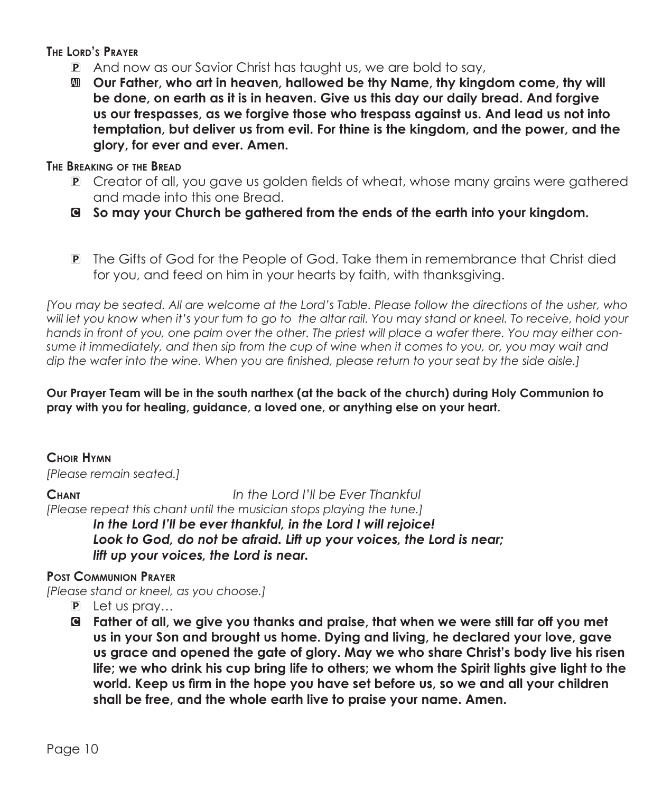**The Lord's Prayer**

- P And now as our Savior Christ has taught us, we are bold to say,
- a **Our Father, who art in heaven, hallowed be thy Name, thy kingdom come, thy will be done, on earth as it is in heaven. Give us this day our daily bread. And forgive us our trespasses, as we forgive those who trespass against us. And lead us not into temptation, but deliver us from evil. For thine is the kingdom, and the power, and the glory, for ever and ever. Amen.**

### **The Breaking of the Bread**

- P Creator of all, you gave us golden fields of wheat, whose many grains were gathered and made into this one Bread.
- C **So may your Church be gathered from the ends of the earth into your kingdom.**
- P The Gifts of God for the People of God. Take them in remembrance that Christ died for you, and feed on him in your hearts by faith, with thanksgiving.

*[You may be seated. All are welcome at the Lord's Table. Please follow the directions of the usher, who will let you know when it's your turn to go to the altar rail. You may stand or kneel. To receive, hold your hands in front of you, one palm over the other. The priest will place a wafer there. You may either consume it immediately, and then sip from the cup of wine when it comes to you, or, you may wait and dip the wafer into the wine. When you are finished, please return to your seat by the side aisle.]*

**Our Prayer Team will be in the south narthex (at the back of the church) during Holy Communion to pray with you for healing, guidance, a loved one, or anything else on your heart.** 

# **Choir Hymn**

*[Please remain seated.]*

**Chant** *In the Lord I'll be Ever Thankful [Please repeat this chant until the musician stops playing the tune.] In the Lord I'll be ever thankful, in the Lord I will rejoice!*

Look to God, do not be afraid. Lift up your voices, the Lord is near; *lift up your voices, the Lord is near.*

# **Post Communion Prayer**

*[Please stand or kneel, as you choose.]*

- P Let us pray…
- C **Father of all, we give you thanks and praise, that when we were still far off you met us in your Son and brought us home. Dying and living, he declared your love, gave us grace and opened the gate of glory. May we who share Christ's body live his risen life; we who drink his cup bring life to others; we whom the Spirit lights give light to the world. Keep us firm in the hope you have set before us, so we and all your children shall be free, and the whole earth live to praise your name. Amen.**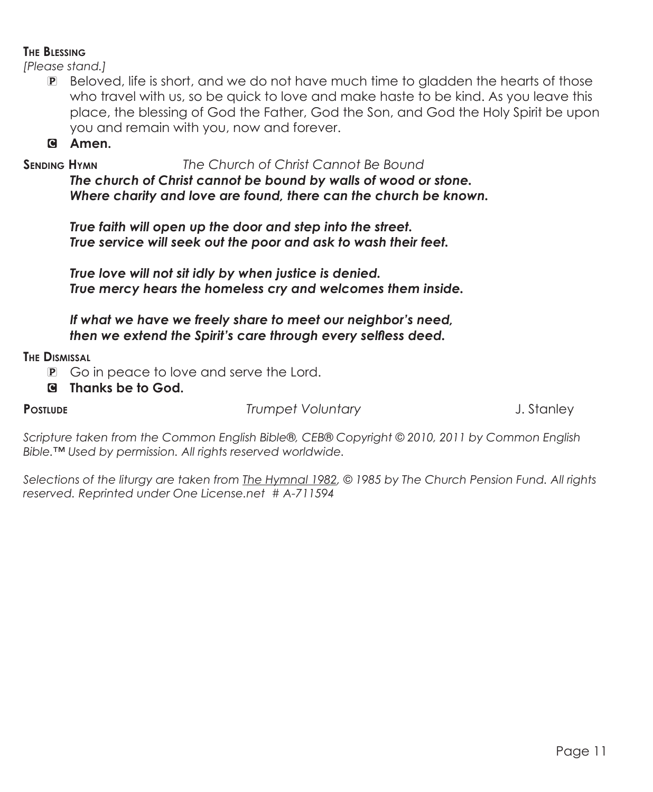### **The Blessing**

*[Please stand.]*

P Beloved, life is short, and we do not have much time to gladden the hearts of those who travel with us, so be quick to love and make haste to be kind. As you leave this place, the blessing of God the Father, God the Son, and God the Holy Spirit be upon you and remain with you, now and forever.

C **Amen.**

**Sending Hymn** *The Church of Christ Cannot Be Bound*

*The church of Christ cannot be bound by walls of wood or stone. Where charity and love are found, there can the church be known.*

*True faith will open up the door and step into the street. True service will seek out the poor and ask to wash their feet.*

*True love will not sit idly by when justice is denied. True mercy hears the homeless cry and welcomes them inside.*

*If what we have we freely share to meet our neighbor's need, then we extend the Spirit's care through every selfless deed.*

## **The Dismissal**

- P Go in peace to love and serve the Lord.
- C **Thanks be to God.**

**Postlude** *Trumpet Voluntary* J. Stanley

*Scripture taken from the Common English Bible®, CEB® Copyright © 2010, 2011 by Common English Bible.™ Used by permission. All rights reserved worldwide.*

*Selections of the liturgy are taken from The Hymnal 1982, © 1985 by The Church Pension Fund. All rights reserved. Reprinted under One License.net # A-711594*